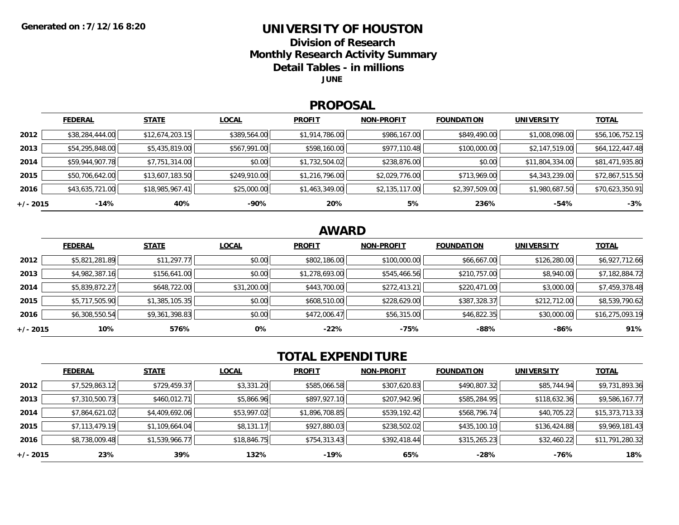## **UNIVERSITY OF HOUSTON**

**Division of Research**

**Monthly Research Activity Summary**

**Detail Tables - in millions**

**JUNE**

#### **PROPOSAL**

|            | <b>FEDERAL</b>  | <b>STATE</b>    | <b>LOCAL</b> | <b>PROFIT</b>  | <b>NON-PROFIT</b> | <b>FOUNDATION</b> | <b>UNIVERSITY</b> | <b>TOTAL</b>    |
|------------|-----------------|-----------------|--------------|----------------|-------------------|-------------------|-------------------|-----------------|
| 2012       | \$38,284,444.00 | \$12,674,203.15 | \$389,564.00 | \$1,914,786.00 | \$986,167.00      | \$849,490.00      | \$1,008,098.00    | \$56,106,752.15 |
| 2013       | \$54,295,848.00 | \$5,435,819.00  | \$567,991.00 | \$598,160.00   | \$977,110.48      | \$100,000.00      | \$2,147,519.00    | \$64,122,447.48 |
| 2014       | \$59,944,907.78 | \$7,751,314.00  | \$0.00       | \$1,732,504.02 | \$238,876.00      | \$0.00            | \$11,804,334.00   | \$81,471,935.80 |
| 2015       | \$50,706,642.00 | \$13,607,183.50 | \$249,910.00 | \$1,216,796.00 | \$2,029,776.00    | \$713,969.00      | \$4,343,239.00    | \$72,867,515.50 |
| 2016       | \$43,635,721.00 | \$18,985,967.41 | \$25,000.00  | \$1,463,349.00 | \$2,135,117.00    | \$2,397,509.00    | \$1,980,687.50    | \$70,623,350.91 |
| $+/- 2015$ | -14%            | 40%             | -90%         | 20%            | 5%                | 236%              | -54%              | $-3%$           |

## **AWARD**

|          | <b>FEDERAL</b> | <b>STATE</b>   | <b>LOCAL</b> | <b>PROFIT</b>  | <b>NON-PROFIT</b> | <b>FOUNDATION</b> | <b>UNIVERSITY</b> | <u>TOTAL</u>    |
|----------|----------------|----------------|--------------|----------------|-------------------|-------------------|-------------------|-----------------|
| 2012     | \$5,821,281.89 | \$11,297.77    | \$0.00       | \$802,186.00   | \$100,000.00      | \$66,667.00       | \$126,280.00      | \$6,927,712.66  |
| 2013     | \$4,982,387.16 | \$156,641.00   | \$0.00       | \$1,278,693.00 | \$545,466.56      | \$210,757.00      | \$8,940.00        | \$7,182,884.72  |
| 2014     | \$5,839,872.27 | \$648,722.00   | \$31,200.00  | \$443,700.00   | \$272,413.21      | \$220,471.00      | \$3,000.00        | \$7,459,378.48  |
| 2015     | \$5,717,505.90 | \$1,385,105.35 | \$0.00       | \$608,510.00   | \$228,629.00      | \$387,328.37      | \$212,712.00      | \$8,539,790.62  |
| 2016     | \$6,308,550.54 | \$9,361,398.83 | \$0.00       | \$472,006.47   | \$56,315.00       | \$46,822.35       | \$30,000.00       | \$16,275,093.19 |
| +/- 2015 | 10%            | 576%           | 0%           | $-22%$         | -75%              | $-88%$            | $-86%$            | 91%             |

# **TOTAL EXPENDITURE**

|          | <b>FEDERAL</b> | <b>STATE</b>   | <b>LOCAL</b> | <b>PROFIT</b>  | <b>NON-PROFIT</b> | <b>FOUNDATION</b> | <b>UNIVERSITY</b> | <b>TOTAL</b>    |
|----------|----------------|----------------|--------------|----------------|-------------------|-------------------|-------------------|-----------------|
| 2012     | \$7,529,863.12 | \$729,459.37   | \$3,331.20   | \$585,066.58   | \$307,620.83      | \$490,807.32      | \$85,744.94       | \$9,731,893.36  |
| 2013     | \$7,310,500.73 | \$460,012.71   | \$5,866.96   | \$897,927.10   | \$207,942.96      | \$585,284.95      | \$118,632.36      | \$9,586,167.77  |
| 2014     | \$7,864,621.02 | \$4,409,692.06 | \$53,997.02  | \$1,896,708.85 | \$539,192.42      | \$568,796.74      | \$40,705.22       | \$15,373,713.33 |
| 2015     | \$7,113,479.19 | \$1,109,664.04 | \$8,131.17   | \$927,880.03   | \$238,502.02      | \$435,100.10      | \$136,424.88      | \$9,969,181.43  |
| 2016     | \$8,738,009.48 | \$1,539,966.77 | \$18,846.75  | \$754,313.43   | \$392,418.44      | \$315,265.23      | \$32,460.22       | \$11,791,280.32 |
| +/- 2015 | 23%            | 39%            | 132%         | -19%           | 65%               | $-28%$            | -76%              | 18%             |